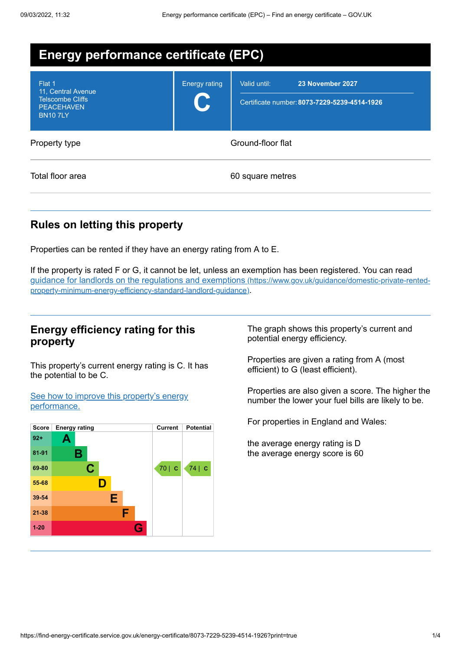| <b>Energy performance certificate (EPC)</b>                                                    |                      |                                                                                  |
|------------------------------------------------------------------------------------------------|----------------------|----------------------------------------------------------------------------------|
| Flat 1<br>11, Central Avenue<br><b>Telscombe Cliffs</b><br><b>PEACEHAVEN</b><br><b>BN107LY</b> | <b>Energy rating</b> | 23 November 2027<br>Valid until:<br>Certificate number: 8073-7229-5239-4514-1926 |
| Property type                                                                                  |                      | Ground-floor flat                                                                |
| Total floor area                                                                               |                      | 60 square metres                                                                 |

# **Rules on letting this property**

Properties can be rented if they have an energy rating from A to E.

If the property is rated F or G, it cannot be let, unless an exemption has been registered. You can read guidance for landlords on the regulations and exemptions (https://www.gov.uk/guidance/domestic-private-rented[property-minimum-energy-efficiency-standard-landlord-guidance\)](https://www.gov.uk/guidance/domestic-private-rented-property-minimum-energy-efficiency-standard-landlord-guidance).

## **Energy efficiency rating for this property**

This property's current energy rating is C. It has the potential to be C.

See how to improve this property's energy [performance.](#page-2-0)



The graph shows this property's current and potential energy efficiency.

Properties are given a rating from A (most efficient) to G (least efficient).

Properties are also given a score. The higher the number the lower your fuel bills are likely to be.

For properties in England and Wales:

the average energy rating is D the average energy score is 60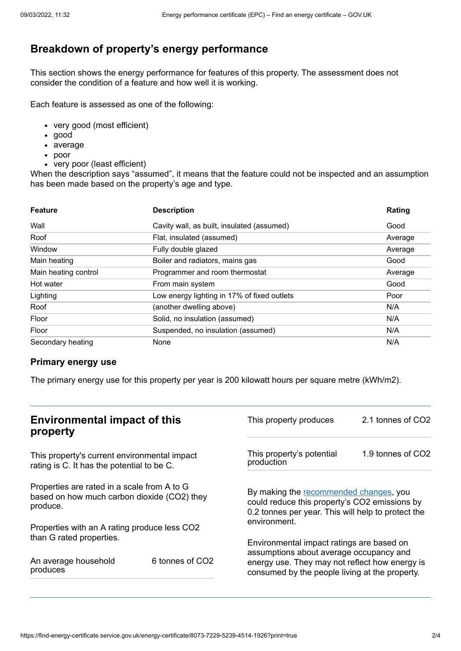# **Breakdown of property's energy performance**

This section shows the energy performance for features of this property. The assessment does not consider the condition of a feature and how well it is working.

Each feature is assessed as one of the following:

- very good (most efficient)
- good
- average
- poor
- very poor (least efficient)

When the description says "assumed", it means that the feature could not be inspected and an assumption has been made based on the property's age and type.

| <b>Feature</b>       | <b>Description</b>                          | Rating  |
|----------------------|---------------------------------------------|---------|
| Wall                 | Cavity wall, as built, insulated (assumed)  | Good    |
| Roof                 | Flat, insulated (assumed)                   | Average |
| Window               | Fully double glazed                         | Average |
| Main heating         | Boiler and radiators, mains gas             | Good    |
| Main heating control | Programmer and room thermostat              | Average |
| Hot water            | From main system                            | Good    |
| Lighting             | Low energy lighting in 17% of fixed outlets | Poor    |
| Roof                 | (another dwelling above)                    | N/A     |
| Floor                | Solid, no insulation (assumed)              | N/A     |
| Floor                | Suspended, no insulation (assumed)          | N/A     |
| Secondary heating    | None                                        | N/A     |

## **Primary energy use**

The primary energy use for this property per year is 200 kilowatt hours per square metre (kWh/m2).

| <b>Environmental impact of this</b><br>property                                                        |                 | This property produces                                                                                                                        | 2.1 tonnes of CO2 |
|--------------------------------------------------------------------------------------------------------|-----------------|-----------------------------------------------------------------------------------------------------------------------------------------------|-------------------|
| This property's current environmental impact<br>rating is C. It has the potential to be C.             |                 | This property's potential<br>production                                                                                                       | 1.9 tonnes of CO2 |
| Properties are rated in a scale from A to G<br>based on how much carbon dioxide (CO2) they<br>produce. |                 | By making the recommended changes, you<br>could reduce this property's CO2 emissions by<br>0.2 tonnes per year. This will help to protect the |                   |
| Properties with an A rating produce less CO2                                                           |                 | environment.                                                                                                                                  |                   |
| than G rated properties.                                                                               |                 | Environmental impact ratings are based on<br>assumptions about average occupancy and                                                          |                   |
| An average household<br>produces                                                                       | 6 tonnes of CO2 | energy use. They may not reflect how energy is<br>consumed by the people living at the property.                                              |                   |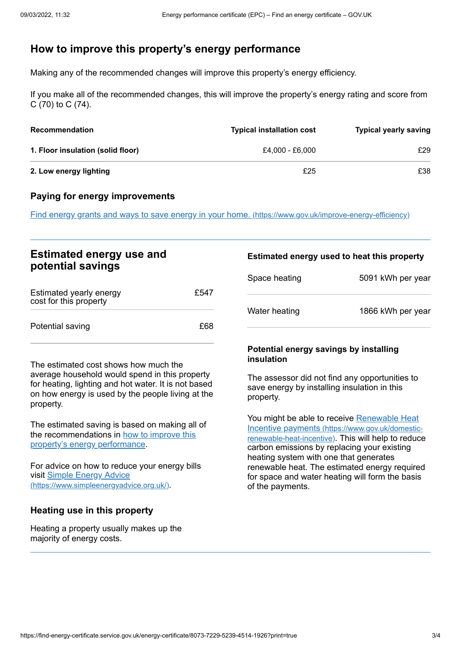# <span id="page-2-0"></span>**How to improve this property's energy performance**

Making any of the recommended changes will improve this property's energy efficiency.

If you make all of the recommended changes, this will improve the property's energy rating and score from C (70) to C (74).

| <b>Recommendation</b>             | <b>Typical installation cost</b> | <b>Typical yearly saving</b> |
|-----------------------------------|----------------------------------|------------------------------|
| 1. Floor insulation (solid floor) | £4.000 - £6.000                  | £29                          |
| 2. Low energy lighting            | £25                              | £38                          |

#### **Paying for energy improvements**

Find energy grants and ways to save energy in your home. [\(https://www.gov.uk/improve-energy-efficiency\)](https://www.gov.uk/improve-energy-efficiency)

## **Estimated energy use and potential savings**

| Estimated yearly energy<br>cost for this property | £547 |
|---------------------------------------------------|------|
| Potential saving                                  | £68  |

The estimated cost shows how much the average household would spend in this property for heating, lighting and hot water. It is not based on how energy is used by the people living at the property.

The estimated saving is based on making all of the [recommendations](#page-2-0) in how to improve this property's energy performance.

For advice on how to reduce your energy bills visit Simple Energy Advice [\(https://www.simpleenergyadvice.org.uk/\)](https://www.simpleenergyadvice.org.uk/).

## **Heating use in this property**

Heating a property usually makes up the majority of energy costs.

#### **Estimated energy used to heat this property**

| Space heating | 5091 kWh per year |
|---------------|-------------------|
| Water heating | 1866 kWh per year |

#### **Potential energy savings by installing insulation**

The assessor did not find any opportunities to save energy by installing insulation in this property.

You might be able to receive Renewable Heat Incentive payments [\(https://www.gov.uk/domestic](https://www.gov.uk/domestic-renewable-heat-incentive)renewable-heat-incentive). This will help to reduce carbon emissions by replacing your existing heating system with one that generates renewable heat. The estimated energy required for space and water heating will form the basis of the payments.